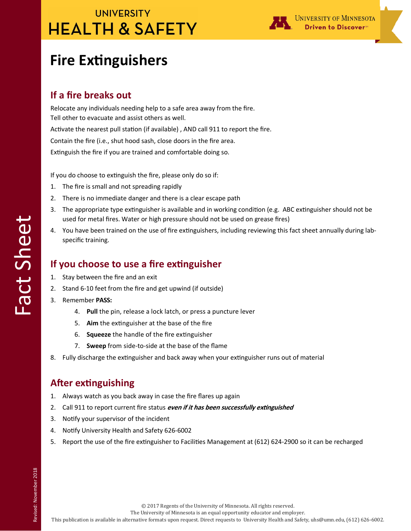## **UNIVERSITY HEALTH & SAFETY**



# **Fire Extinguishers**

#### **If a fire breaks out**

Relocate any individuals needing help to a safe area away from the fire. Tell other to evacuate and assist others as well. Activate the nearest pull station (if available) , AND call 911 to report the fire. Contain the fire (i.e., shut hood sash, close doors in the fire area. Extinguish the fire if you are trained and comfortable doing so.

If you do choose to extinguish the fire, please only do so if:

- 1. The fire is small and not spreading rapidly
- 2. There is no immediate danger and there is a clear escape path
- 3. The appropriate type extinguisher is available and in working condition (e.g. ABC extinguisher should not be used for metal fires. Water or high pressure should not be used on grease fires)
- 4. You have been trained on the use of fire extinguishers, including reviewing this fact sheet annually during labspecific training.

#### **If you choose to use a fire extinguisher**

- 1. Stay between the fire and an exit
- 2. Stand 6-10 feet from the fire and get upwind (if outside)
- 3. Remember **PASS:**
	- 4. **Pull** the pin, release a lock latch, or press a puncture lever
	- 5. **Aim** the extinguisher at the base of the fire
	- 6. **Squeeze** the handle of the fire extinguisher
	- 7. **Sweep** from side-to-side at the base of the flame
- 8. Fully discharge the extinguisher and back away when your extinguisher runs out of material

#### **After extinguishing**

- 1. Always watch as you back away in case the fire flares up again
- 2. Call 911 to report current fire status **even if it has been successfully extinguished**
- 3. Notify your supervisor of the incident
- 4. Notify University Health and Safety 626-6002
- 5. Report the use of the fire extinguisher to Facilities Management at (612) 624-2900 so it can be recharged

Revised: November 2018 Revised: November 2018

© 2017 Regents of the University of Minnesota. All rights reserved.

The University of Minnesota is an equal opportunity educator and employer.

This publication is available in alternative formats upon request. Direct requests to University Health and Safety, uhs@umn.edu, (612) 626-6002.